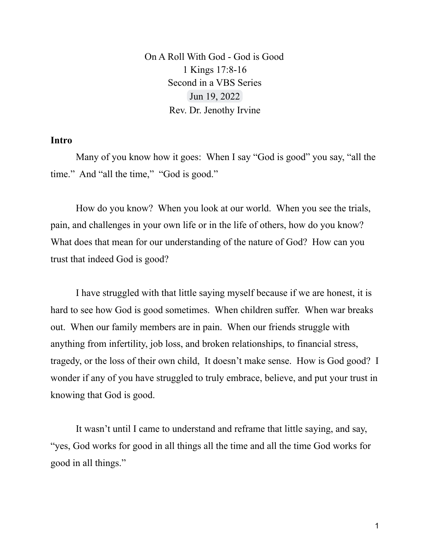On A Roll With God - God is Good 1 Kings 17:8-16 Second in a VBS Series Jun 19, 2022 Rev. Dr. Jenothy Irvine

## **Intro**

Many of you know how it goes: When I say "God is good" you say, "all the time." And "all the time," "God is good."

How do you know? When you look at our world. When you see the trials, pain, and challenges in your own life or in the life of others, how do you know? What does that mean for our understanding of the nature of God? How can you trust that indeed God is good?

I have struggled with that little saying myself because if we are honest, it is hard to see how God is good sometimes. When children suffer. When war breaks out. When our family members are in pain. When our friends struggle with anything from infertility, job loss, and broken relationships, to financial stress, tragedy, or the loss of their own child, It doesn't make sense. How is God good? I wonder if any of you have struggled to truly embrace, believe, and put your trust in knowing that God is good.

It wasn't until I came to understand and reframe that little saying, and say, "yes, God works for good in all things all the time and all the time God works for good in all things."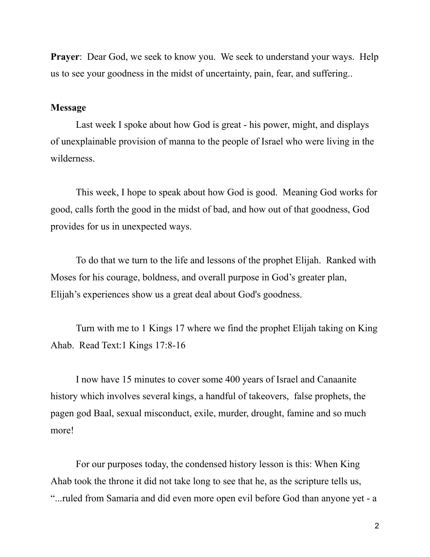**Prayer**: Dear God, we seek to know you. We seek to understand your ways. Help us to see your goodness in the midst of uncertainty, pain, fear, and suffering..

## **Message**

Last week I spoke about how God is great - his power, might, and displays of unexplainable provision of manna to the people of Israel who were living in the wilderness.

This week, I hope to speak about how God is good. Meaning God works for good, calls forth the good in the midst of bad, and how out of that goodness, God provides for us in unexpected ways.

To do that we turn to the life and lessons of the prophet Elijah. Ranked with Moses for his courage, boldness, and overall purpose in God's greater plan, Elijah's experiences show us a great deal about God's goodness.

Turn with me to 1 Kings 17 where we find the prophet Elijah taking on King Ahab. Read Text:1 Kings 17:8-16

I now have 15 minutes to cover some 400 years of Israel and Canaanite history which involves several kings, a handful of takeovers, false prophets, the pagen god Baal, sexual misconduct, exile, murder, drought, famine and so much more!

For our purposes today, the condensed history lesson is this: When King Ahab took the throne it did not take long to see that he, as the scripture tells us, "...ruled from Samaria and did even more open evil before God than anyone yet - a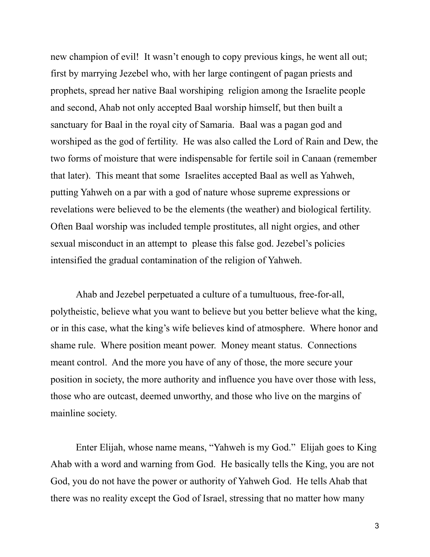new champion of evil! It wasn't enough to copy previous kings, he went all out; first by marrying Jezebel who, with her large contingent of pagan priests and prophets, spread her native Baal worshiping religion among the Israelite people and second, Ahab not only accepted Baal worship himself, but then built a sanctuary for Baal in the royal city of Samaria. Baal was a pagan god and worshiped as the god of fertility. He was also called the Lord of Rain and Dew, the two forms of moisture that were indispensable for fertile soil in Canaan (remember that later). This meant that some Israelites accepted Baal as well as Yahweh, putting Yahweh on a par with a god of nature whose supreme expressions or revelations were believed to be the elements (the weather) and biological fertility. Often Baal worship was included temple prostitutes, all night orgies, and other sexual misconduct in an attempt to please this false god. Jezebel's policies intensified the gradual contamination of the religion of Yahweh.

Ahab and Jezebel perpetuated a culture of a tumultuous, free-for-all, polytheistic, believe what you want to believe but you better believe what the king, or in this case, what the king's wife believes kind of atmosphere. Where honor and shame rule. Where position meant power. Money meant status. Connections meant control. And the more you have of any of those, the more secure your position in society, the more authority and influence you have over those with less, those who are outcast, deemed unworthy, and those who live on the margins of mainline society.

Enter Elijah, whose name means, "Yahweh is my God." Elijah goes to King Ahab with a word and warning from God. He basically tells the King, you are not God, you do not have the power or authority of Yahweh God. He tells Ahab that there was no reality except the God of Israel, stressing that no matter how many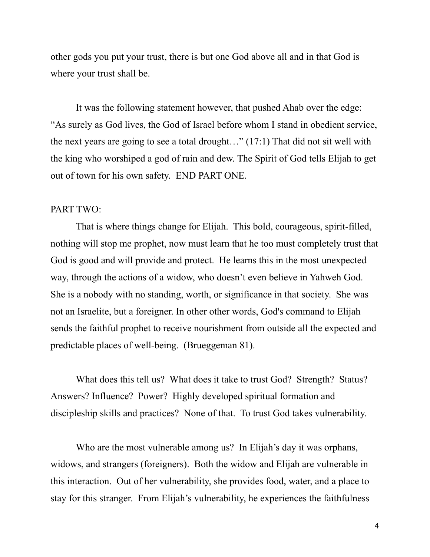other gods you put your trust, there is but one God above all and in that God is where your trust shall be.

It was the following statement however, that pushed Ahab over the edge: "As surely as God lives, the God of Israel before whom I stand in obedient service, the next years are going to see a total drought…" (17:1) That did not sit well with the king who worshiped a god of rain and dew. The Spirit of God tells Elijah to get out of town for his own safety. END PART ONE.

## PART TWO:

That is where things change for Elijah. This bold, courageous, spirit-filled, nothing will stop me prophet, now must learn that he too must completely trust that God is good and will provide and protect. He learns this in the most unexpected way, through the actions of a widow, who doesn't even believe in Yahweh God. She is a nobody with no standing, worth, or significance in that society. She was not an Israelite, but a foreigner. In other other words, God's command to Elijah sends the faithful prophet to receive nourishment from outside all the expected and predictable places of well-being. (Brueggeman 81).

What does this tell us? What does it take to trust God? Strength? Status? Answers? Influence? Power? Highly developed spiritual formation and discipleship skills and practices? None of that. To trust God takes vulnerability.

Who are the most vulnerable among us? In Elijah's day it was orphans, widows, and strangers (foreigners). Both the widow and Elijah are vulnerable in this interaction. Out of her vulnerability, she provides food, water, and a place to stay for this stranger. From Elijah's vulnerability, he experiences the faithfulness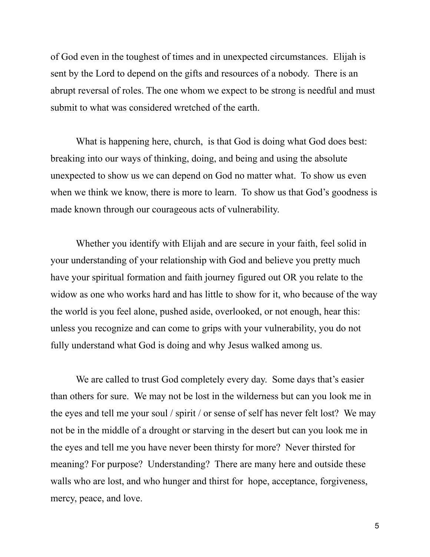of God even in the toughest of times and in unexpected circumstances. Elijah is sent by the Lord to depend on the gifts and resources of a nobody. There is an abrupt reversal of roles. The one whom we expect to be strong is needful and must submit to what was considered wretched of the earth.

What is happening here, church, is that God is doing what God does best: breaking into our ways of thinking, doing, and being and using the absolute unexpected to show us we can depend on God no matter what. To show us even when we think we know, there is more to learn. To show us that God's goodness is made known through our courageous acts of vulnerability.

Whether you identify with Elijah and are secure in your faith, feel solid in your understanding of your relationship with God and believe you pretty much have your spiritual formation and faith journey figured out OR you relate to the widow as one who works hard and has little to show for it, who because of the way the world is you feel alone, pushed aside, overlooked, or not enough, hear this: unless you recognize and can come to grips with your vulnerability, you do not fully understand what God is doing and why Jesus walked among us.

We are called to trust God completely every day. Some days that's easier than others for sure. We may not be lost in the wilderness but can you look me in the eyes and tell me your soul / spirit / or sense of self has never felt lost? We may not be in the middle of a drought or starving in the desert but can you look me in the eyes and tell me you have never been thirsty for more? Never thirsted for meaning? For purpose? Understanding? There are many here and outside these walls who are lost, and who hunger and thirst for hope, acceptance, forgiveness, mercy, peace, and love.